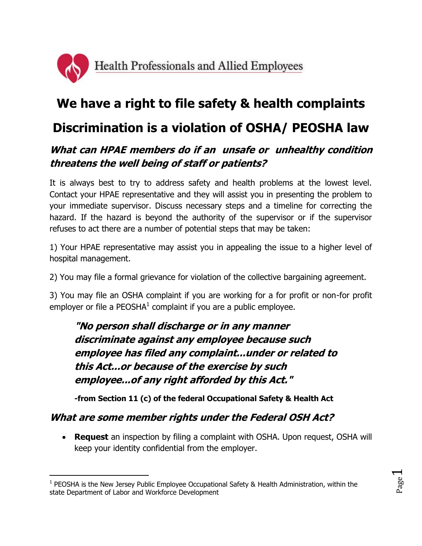

# **We have a right to file safety & health complaints**

## **Discrimination is a violation of OSHA/ PEOSHA law**

## **What can HPAE members do if an unsafe or unhealthy condition threatens the well being of staff or patients?**

It is always best to try to address safety and health problems at the lowest level. Contact your HPAE representative and they will assist you in presenting the problem to your immediate supervisor. Discuss necessary steps and a timeline for correcting the hazard. If the hazard is beyond the authority of the supervisor or if the supervisor refuses to act there are a number of potential steps that may be taken:

1) Your HPAE representative may assist you in appealing the issue to a higher level of hospital management.

2) You may file a formal grievance for violation of the collective bargaining agreement.

3) You may file an OSHA complaint if you are working for a for profit or non-for profit employer or file a PEOSHA $^1$  complaint if you are a public employee.

**"No person shall discharge or in any manner discriminate against any employee because such employee has filed any complaint...under or related to this Act...or because of the exercise by such employee...of any right afforded by this Act."**

**-from Section 11 (c) of the federal Occupational Safety & Health Act**

#### **What are some member rights under the Federal OSH Act?**

 $\overline{a}$ 

 **Request** an inspection by filing a complaint with OSHA. Upon request, OSHA will keep your identity confidential from the employer.

<sup>&</sup>lt;sup>1</sup> PEOSHA is the New Jersey Public Employee Occupational Safety & Health Administration, within the state Department of Labor and Workforce Development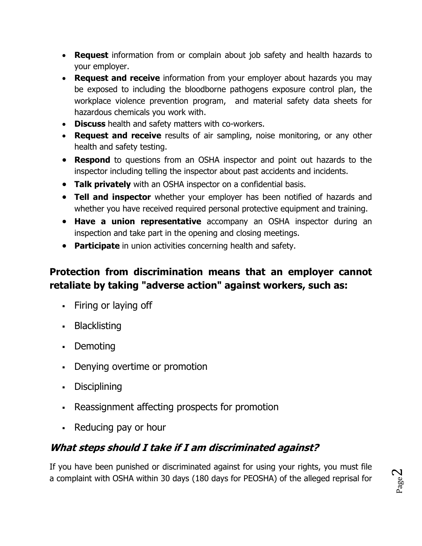- **Request** information from or complain about job safety and health hazards to your employer.
- **Request and receive** information from your employer about hazards you may be exposed to including the bloodborne pathogens exposure control plan, the workplace violence prevention program, and material safety data sheets for hazardous chemicals you work with.
- **Discuss** health and safety matters with co-workers.
- **Request and receive** results of air sampling, noise monitoring, or any other health and safety testing.
- **Respond** to questions from an OSHA inspector and point out hazards to the inspector including telling the inspector about past accidents and incidents.
- **Talk privately** with an OSHA inspector on a confidential basis.
- **Tell and inspector** whether your employer has been notified of hazards and whether you have received required personal protective equipment and training.
- **Have a union representative** accompany an OSHA inspector during an inspection and take part in the opening and closing meetings.
- **Participate** in union activities concerning health and safety.

### **Protection from discrimination means that an employer cannot retaliate by taking "adverse action" against workers, such as:**

- Firing or laying off
- Blacklisting
- Demoting
- Denying overtime or promotion
- Disciplining
- Reassignment affecting prospects for promotion
- Reducing pay or hour

## **What steps should I take if I am discriminated against?**

If you have been punished or discriminated against for using your rights, you must file a complaint with OSHA within 30 days (180 days for PEOSHA) of the alleged reprisal for